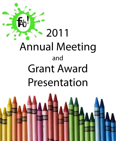

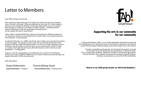### Letter to Members

Dear FAB! members and friends,

What started just eight years ago as an idea and a dream has become a powerful force in the arts community. Today we celebrate the more than \$1.4 million dollars in grants we have awarded to Broward County arts organizations since our inception. Only through our continued commitment to FAB!'s mission – providing financial support to Broward County arts organizations through grants – can we sustain this level of achievement.

Today, FAB! is awarding \$205,000 in grants to fund twenty-two different programs in our community. Under any circumstances this is quite a feat; in our present economic circumstances, it's phenomenal!

Funding Arts Broward, Inc. (FAB!) was formed when budget cuts to government funding for the arts began. The situation is even worse now as we watch the decline of arts funding on the local, state and national levels. It is up to us to make sure that our work continues. We will continue to look for ways we can use the power of FAB! to make our voices heard regarding arts issues while still doing the work for which we were established — funding grants.

Today is a time for congratulations and celebration! As a member of Funding Arts Broward you make a significant difference to our South Florida community through your support of the arts. For this, we thank you!

With appreciation,

Drazia Rubenstein Francie Bishop Good

 **Drazia Rubenstein** - President **Francie Bishop Good** - Founding Chair



#### **Supporting the arts in our community for our community**

Funding Arts Broward, FAB!, is a non-profit organization dedicated to preserving and cultivating the arts in Broward County. It was formed in response to the need for private financial support following drastic government budget cuts to arts funding.

Through a competitive grant process, annual awards are made to a myriad of non-profit visual and performing arts organizations in Broward County. This is a participatory endeavor. Members volunteer to review grant applications, conduct site visits, then evaluate and recommend funding for specific projects. Grantees are selected by a vote of the FAB! membership.

**Read on to see which groups became our 2012 Grant Recipients...**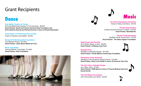## Grant Recipients

## **Dance**

**Arts Ballet Theatre of Florida**  2012 Arts Ballet Improvements to *The Nutcracker* - \$8,600 **Grant Partner: David and Francie Horvitz Family Foundation and Erica Hartman-Horvitz and Richard Horvitz in honor of Drazia Rubenstein**

**Association of Performing Arts of India** Fusion of Flamenco and Kathak - \$5,000

**Broward Performing Arts Foundation** Trey McIntyre Project - \$12,900 **Grant Partner: Leslie Brown Memorial Fund**

**Miami City Ballet** Jerome Robbins' *In the Night* - \$12,900 **Grant Partner: Peck Foundation**







**Ars Flores Symphony Orchestra**  Stories in Music and Dance - \$7,500

**Florida Grand Opera** Charles Gounod's *Romeo et Juliette* - \$13,000 **Grant Partner: BankAtlantic** 

**Florida Youth Orchestra** Spotlight Family Concert 2012 - \$7,500 **Grant Partner: The Helen Ingham Foundation**

**Gold Coast Jazz Society** 2012 Winter Season of Jazz - \$8,500 **Grant Partner: Al Bishop Jazz Fund**

**Seraphic Fire** Seraphic Fire Broward Season - \$12,500 **Grant Partner: Florida Marlins Community Foundation**

#### **Symphony of the Americas**

Symphony of the Americas Classics Events - \$12,500 **Grant Partner: Alice & Joe Smith in honor of Connie & Theo Folz**

**The Girl Choir of South Florida**

*Sun, Moon, Stars* - \$7,300 **Grant Partner: FAB! Board in honor of Francie Bishop Good and David Horvitz**

**The Old Dillard Foundation** 2012 Cannonball Jazz Series - \$5,500

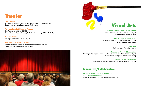## **Theater**

**City Theatre** 17th Annual Summer Shorts: America's Short Play Festival - \$8,300 **Grant Partner: Nova Southeastern University**

#### **Fort Lauderdale Children's Theatre**

*The Neverending Story* - \$8,300 **Grant Partner: Deborah & Leigh R. Kerr in memory of Mae B. Yeckel**

**Mosaic Theatre** Making a Difference in 2012 - \$8,300

**The Women's Theatre Project** *The Sex Habits of American Women* and *Blind Spots* - \$8,300 **Grant Partner: The Kresge Foundation**



# **Visual Arts**

#### **Art and Culture Center of Hollywood**

Phillip Estlund: Subprime/Subtropics - \$13,500 **Grant Partner: Northern Trust** 

**Coral Springs Museum of Art** Artist in Residence 2012 - Artist as Mentor - \$7,500 **Grant Partner: Beaux Arts** 

> **Girls' Club** *Re-Framing the Feminine* - \$8,000

#### **Museum of Art | Fort Lauderdale**

Offering of the Angels: Paintings & Tapestries from the Uffizi Gallery - \$10,500 **Grant Partner: Craig Zinn Automotive Group**

> **Young at Art Children's Museum** Pablo Cano's Marionette Exhibition & Puppet Theater - \$14,600

#### **Innovative/Collaborative**

**Art and Culture Center of Hollywood and Christina Pettersson** From the South Pacific to the Seven Seas - \$4,000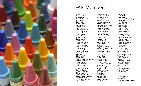

### FAB! Members

Abbate, Jaye\* Amaturo, Wini Annecca, Vicki **Barnett, Bonnie\*** Baxt, Joan Becht, Mary Berube, Shelia Bishop, Ruth\* Blattner, Elaine Bloch, Joyce M. Bodenweber, Holly\* Braverman, Rebecca\* Brewer, Diane Brown, Leslie\*\* Bryant, Nancy\* Burton, Valerie\* Camp, Melanie\* Cantrell, Lynn Chamberlin, Anne Chaney, Dyan Colodny, Lou Anne Cooper, Barbara\* Cossin, Cindy Costantino, Mary/Ernest Denaro, Madeline\* Dowd, Betty Jo Eletz, Bonnie E. Elia, Denise\* Erlick, Janet Ferchland-Parella, Joanne Ferrero, Raquel Ferro, Marianne Floyd, Michele A. **Folz, Connie\*** Folz, Theo Forman, Christine Gertner, Deanne Glantz, Johnnie Sue\* **Glatz, Jane** Goldstein, Susan **Good, Francie Bishop\*** Goodman, Pearl\* Grass, Jody Harrison Gray, Loyola

Gremillion, Ann Gunzburger, Sue\* Gustafson, Betty\* Hagen, David Hagen, Virginia (Sue) Halmos, Madelaine **Hardy, Diane** Hartman-Horvitz, Erica Horvitz, David Horvitz, Richard A Hotchkiss, Carmen Hudson, Jeannie Huizenga, Bonnie Igersheim, Adele Ingham, Helen\* \*\* Ingham, Tim Jonsen, Beverly Kaplan, Gail\* **Kashdin, Cynthia** Kerr, Deborah Kitei, Lisa Kjelgaard, Roberta Kurland, Roslyn (Robbie) LaBonte, Renee\* Lambertus, Christy\* Laskey, Gerald L. Lee, Carolyn Levan, Dara **Levin, Cindy**\* Linzner, Beth Lochrie, Susan\* Loving, Susan Loewenstein, Estelle Marino, Lois **Masi, Wendy\*** McGinn, Tara McQuillen, Susan\* Mesa, Alfredo **Mills, Jayne\*** Mulcahy, Fran Neuhaus, Sara\* Olefson, Fred **Olefson, Jessica\*** Pabst, Julie

Pallant, Joe **Peck, Jodi** Peck, Micki Pomerantz, Wendy Sager Powell, Ann\* Puck, Brenda Puck, Michael Riddles, Sandra Riedel, Mary\* Robins, Robin Robbins, Sally\* Rogow, Jacquelyn\* Rozencwaig, Francine\* **Rubenstein, Drazia\*** Ruffner, Mary\* \*\* Saccoccio, Rosanna Satterlee, Joy Schwartz, Jean\* Schwenke, Bernice Shrago, Mindy\* Siegel, Wilma\* Smith, Alice\* Stevens, Paula Strauch, Julie Finch Telford, Melissa Van Arkel, Carol Vandenbosch, Betty Verusso, Jan Vitolo, Christine Weaver, Myra\* Weinberg, Michelle Weinbrum, Diane\* Weinsier, Sheryl Wells, Barbara Whittington, Sheri Yianilos, Beatrice\* Young, Roberta Zinn, Martine

Founding Member\* In Memory\*\* **Board Members in bold**